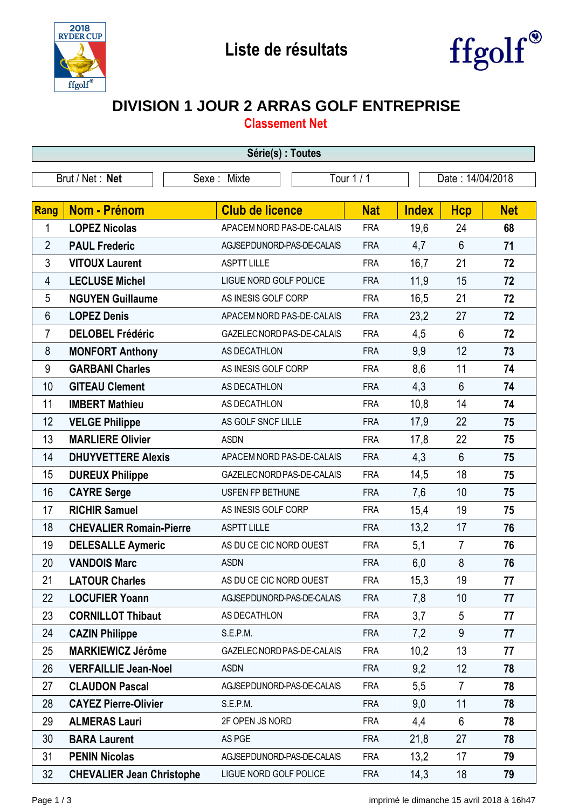



## **DIVISION 1 JOUR 2 ARRAS GOLF ENTREPRISE**

**Classement Net**

| Série(s) : Toutes                                                |                                  |             |                            |  |            |              |                |            |
|------------------------------------------------------------------|----------------------------------|-------------|----------------------------|--|------------|--------------|----------------|------------|
| Tour 1 / 1<br>Brut / Net: Net<br>Date: 14/04/2018<br>Sexe: Mixte |                                  |             |                            |  |            |              |                |            |
|                                                                  |                                  |             |                            |  |            |              |                |            |
| Rang                                                             | <b>Nom - Prénom</b>              |             | <b>Club de licence</b>     |  | <b>Nat</b> | <b>Index</b> | <b>Hcp</b>     | <b>Net</b> |
| 1                                                                | <b>LOPEZ Nicolas</b>             |             | APACEM NORD PAS-DE-CALAIS  |  | <b>FRA</b> | 19,6         | 24             | 68         |
| $\overline{2}$                                                   | <b>PAUL Frederic</b>             |             | AGJSEPDUNORD-PAS-DE-CALAIS |  | <b>FRA</b> | 4,7          | $6\phantom{1}$ | 71         |
| 3                                                                | <b>VITOUX Laurent</b>            |             | <b>ASPTT LILLE</b>         |  | <b>FRA</b> | 16,7         | 21             | 72         |
| 4                                                                | <b>LECLUSE Michel</b>            |             | LIGUE NORD GOLF POLICE     |  | <b>FRA</b> | 11,9         | 15             | 72         |
| 5                                                                | <b>NGUYEN Guillaume</b>          |             | AS INESIS GOLF CORP        |  | <b>FRA</b> | 16,5         | 21             | 72         |
| 6                                                                | <b>LOPEZ Denis</b>               |             | APACEM NORD PAS-DE-CALAIS  |  | <b>FRA</b> | 23,2         | 27             | 72         |
| 7                                                                | <b>DELOBEL Frédéric</b>          |             | GAZELEC NORD PAS-DE-CALAIS |  | <b>FRA</b> | 4,5          | $6\phantom{1}$ | 72         |
| 8                                                                | <b>MONFORT Anthony</b>           |             | AS DECATHLON               |  | <b>FRA</b> | 9,9          | 12             | 73         |
| 9                                                                | <b>GARBANI Charles</b>           |             | AS INESIS GOLF CORP        |  | <b>FRA</b> | 8,6          | 11             | 74         |
| 10                                                               | <b>GITEAU Clement</b>            |             | AS DECATHLON               |  | <b>FRA</b> | 4,3          | $6\phantom{1}$ | 74         |
| 11                                                               | <b>IMBERT Mathieu</b>            |             | AS DECATHLON               |  | <b>FRA</b> | 10,8         | 14             | 74         |
| 12                                                               | <b>VELGE Philippe</b>            |             | AS GOLF SNCF LILLE         |  | <b>FRA</b> | 17,9         | 22             | 75         |
| 13                                                               | <b>MARLIERE Olivier</b>          | <b>ASDN</b> |                            |  | <b>FRA</b> | 17,8         | 22             | 75         |
| 14                                                               | <b>DHUYVETTERE Alexis</b>        |             | APACEM NORD PAS-DE-CALAIS  |  | <b>FRA</b> | 4,3          | $6\phantom{1}$ | 75         |
| 15                                                               | <b>DUREUX Philippe</b>           |             | GAZELEC NORD PAS-DE-CALAIS |  | <b>FRA</b> | 14,5         | 18             | 75         |
| 16                                                               | <b>CAYRE Serge</b>               |             | USFEN FP BETHUNE           |  | <b>FRA</b> | 7,6          | 10             | 75         |
| 17                                                               | <b>RICHIR Samuel</b>             |             | AS INESIS GOLF CORP        |  | <b>FRA</b> | 15,4         | 19             | 75         |
| 18                                                               | <b>CHEVALIER Romain-Pierre</b>   |             | <b>ASPTT LILLE</b>         |  | <b>FRA</b> | 13,2         | 17             | 76         |
| 19                                                               | <b>DELESALLE Aymeric</b>         |             | AS DU CE CIC NORD OUEST    |  | <b>FRA</b> | 5,1          | $\overline{7}$ | 76         |
| 20                                                               | <b>VANDOIS Marc</b>              | <b>ASDN</b> |                            |  | <b>FRA</b> | 6,0          | 8              | 76         |
| 21                                                               | <b>LATOUR Charles</b>            |             | AS DU CE CIC NORD OUEST    |  | <b>FRA</b> | 15,3         | 19             | 77         |
| 22                                                               | <b>LOCUFIER Yoann</b>            |             | AGJSEPDUNORD-PAS-DE-CALAIS |  | <b>FRA</b> | 7,8          | 10             | 77         |
| 23                                                               | <b>CORNILLOT Thibaut</b>         |             | AS DECATHLON               |  | <b>FRA</b> | 3,7          | 5              | 77         |
| 24                                                               | <b>CAZIN Philippe</b>            |             | S.E.P.M.                   |  | <b>FRA</b> | 7,2          | 9              | 77         |
| 25                                                               | <b>MARKIEWICZ Jérôme</b>         |             | GAZELEC NORD PAS-DE-CALAIS |  | <b>FRA</b> | 10,2         | 13             | 77         |
| 26                                                               | <b>VERFAILLIE Jean-Noel</b>      | <b>ASDN</b> |                            |  | <b>FRA</b> | 9,2          | 12             | 78         |
| 27                                                               | <b>CLAUDON Pascal</b>            |             | AGJSEPDUNORD-PAS-DE-CALAIS |  | <b>FRA</b> | 5,5          | $\overline{7}$ | 78         |
| 28                                                               | <b>CAYEZ Pierre-Olivier</b>      |             | S.E.P.M.                   |  | <b>FRA</b> | 9,0          | 11             | 78         |
| 29                                                               | <b>ALMERAS Lauri</b>             |             | 2F OPEN JS NORD            |  | <b>FRA</b> | 4,4          | 6              | 78         |
| 30                                                               | <b>BARA Laurent</b>              |             | AS PGE                     |  | <b>FRA</b> | 21,8         | 27             | 78         |
| 31                                                               | <b>PENIN Nicolas</b>             |             | AGJSEPDUNORD-PAS-DE-CALAIS |  | <b>FRA</b> | 13,2         | 17             | 79         |
| 32                                                               | <b>CHEVALIER Jean Christophe</b> |             | LIGUE NORD GOLF POLICE     |  | <b>FRA</b> | 14,3         | 18             | 79         |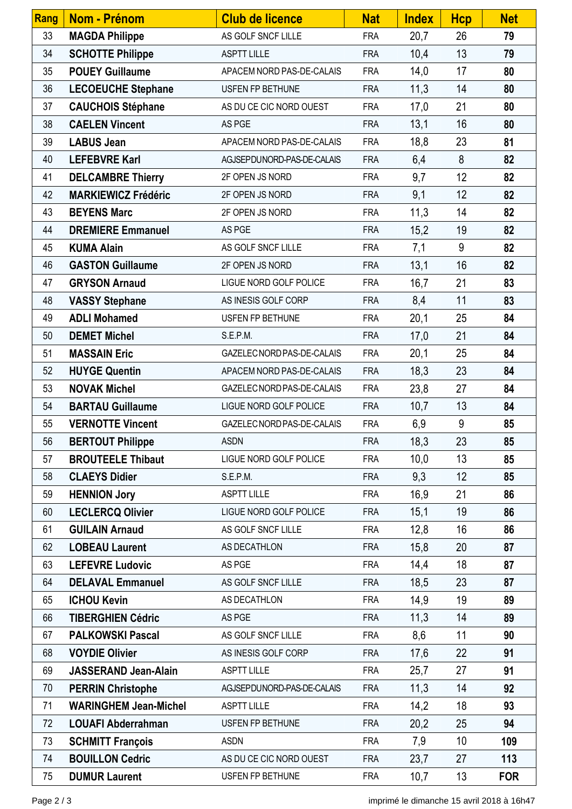| <b>Rang</b> | Nom - Prénom                 | <b>Club de licence</b>        | <b>Nat</b> | <b>Index</b> | <b>Hcp</b> | <b>Net</b> |
|-------------|------------------------------|-------------------------------|------------|--------------|------------|------------|
| 33          | <b>MAGDA Philippe</b>        | AS GOLF SNCF LILLE            | <b>FRA</b> | 20,7         | 26         | 79         |
| 34          | <b>SCHOTTE Philippe</b>      | <b>ASPTT LILLE</b>            | <b>FRA</b> | 10,4         | 13         | 79         |
| 35          | <b>POUEY Guillaume</b>       | APACEM NORD PAS-DE-CALAIS     | <b>FRA</b> | 14,0         | 17         | 80         |
| 36          | <b>LECOEUCHE Stephane</b>    | USFEN FP BETHUNE              | <b>FRA</b> | 11,3         | 14         | 80         |
| 37          | <b>CAUCHOIS Stéphane</b>     | AS DU CE CIC NORD OUEST       | <b>FRA</b> | 17,0         | 21         | 80         |
| 38          | <b>CAELEN Vincent</b>        | AS PGE                        | <b>FRA</b> | 13,1         | 16         | 80         |
| 39          | <b>LABUS Jean</b>            | APACEM NORD PAS-DE-CALAIS     | <b>FRA</b> | 18,8         | 23         | 81         |
| 40          | <b>LEFEBVRE Karl</b>         | AGJSEPDUNORD-PAS-DE-CALAIS    | <b>FRA</b> | 6,4          | 8          | 82         |
| 41          | <b>DELCAMBRE Thierry</b>     | 2F OPEN JS NORD               | <b>FRA</b> | 9,7          | 12         | 82         |
| 42          | <b>MARKIEWICZ Frédéric</b>   | 2F OPEN JS NORD               | <b>FRA</b> | 9,1          | 12         | 82         |
| 43          | <b>BEYENS Marc</b>           | 2F OPEN JS NORD               | <b>FRA</b> | 11,3         | 14         | 82         |
| 44          | <b>DREMIERE Emmanuel</b>     | AS PGE                        | <b>FRA</b> | 15,2         | 19         | 82         |
| 45          | <b>KUMA Alain</b>            | AS GOLF SNCF LILLE            | <b>FRA</b> | 7,1          | 9          | 82         |
| 46          | <b>GASTON Guillaume</b>      | 2F OPEN JS NORD               | <b>FRA</b> | 13,1         | 16         | 82         |
| 47          | <b>GRYSON Arnaud</b>         | LIGUE NORD GOLF POLICE        | <b>FRA</b> | 16,7         | 21         | 83         |
| 48          | <b>VASSY Stephane</b>        | AS INESIS GOLF CORP           | <b>FRA</b> | 8,4          | 11         | 83         |
| 49          | <b>ADLI Mohamed</b>          | USFEN FP BETHUNE              | <b>FRA</b> | 20,1         | 25         | 84         |
| 50          | <b>DEMET Michel</b>          | S.E.P.M.                      | <b>FRA</b> | 17,0         | 21         | 84         |
| 51          | <b>MASSAIN Eric</b>          | GAZELEC NORD PAS-DE-CALAIS    | <b>FRA</b> | 20,1         | 25         | 84         |
| 52          | <b>HUYGE Quentin</b>         | APACEM NORD PAS-DE-CALAIS     | <b>FRA</b> | 18,3         | 23         | 84         |
| 53          | <b>NOVAK Michel</b>          | GAZELEC NORD PAS-DE-CALAIS    | <b>FRA</b> | 23,8         | 27         | 84         |
| 54          | <b>BARTAU Guillaume</b>      | LIGUE NORD GOLF POLICE        | <b>FRA</b> | 10,7         | 13         | 84         |
| 55          | <b>VERNOTTE Vincent</b>      | GAZELEC NORD PAS-DE-CALAIS    | <b>FRA</b> | 6,9          | 9          | 85         |
| 56          | <b>BERTOUT Philippe</b>      | <b>ASDN</b>                   | <b>FRA</b> | 18,3         | 23         | 85         |
| 57          | <b>BROUTEELE Thibaut</b>     | LIGUE NORD GOLF POLICE        | <b>FRA</b> | 10,0         | 13         | 85         |
| 58          | <b>CLAEYS Didier</b>         | S.E.P.M.                      | <b>FRA</b> | 9,3          | 12         | 85         |
| 59          | <b>HENNION Jory</b>          | <b>ASPTT LILLE</b>            | <b>FRA</b> | 16,9         | 21         | 86         |
| 60          | <b>LECLERCQ Olivier</b>      | <b>LIGUE NORD GOLF POLICE</b> | <b>FRA</b> | 15,1         | 19         | 86         |
| 61          | <b>GUILAIN Arnaud</b>        | AS GOLF SNCF LILLE            | <b>FRA</b> | 12,8         | 16         | 86         |
| 62          | <b>LOBEAU Laurent</b>        | AS DECATHLON                  | <b>FRA</b> | 15,8         | 20         | 87         |
| 63          | <b>LEFEVRE Ludovic</b>       | AS PGE                        | <b>FRA</b> | 14,4         | 18         | 87         |
| 64          | <b>DELAVAL Emmanuel</b>      | AS GOLF SNCF LILLE            | <b>FRA</b> | 18,5         | 23         | 87         |
| 65          | <b>ICHOU Kevin</b>           | AS DECATHLON                  | <b>FRA</b> | 14,9         | 19         | 89         |
| 66          | <b>TIBERGHIEN Cédric</b>     | AS PGE                        | <b>FRA</b> | 11,3         | 14         | 89         |
| 67          | <b>PALKOWSKI Pascal</b>      | AS GOLF SNCF LILLE            | <b>FRA</b> | 8,6          | 11         | 90         |
| 68          | <b>VOYDIE Olivier</b>        | AS INESIS GOLF CORP           | <b>FRA</b> | 17,6         | 22         | 91         |
| 69          | <b>JASSERAND Jean-Alain</b>  | <b>ASPTT LILLE</b>            | <b>FRA</b> | 25,7         | 27         | 91         |
| 70          | <b>PERRIN Christophe</b>     | AGJSEPDUNORD-PAS-DE-CALAIS    | <b>FRA</b> | 11,3         | 14         | 92         |
| 71          | <b>WARINGHEM Jean-Michel</b> | <b>ASPTT LILLE</b>            | <b>FRA</b> | 14,2         | 18         | 93         |
| 72          | <b>LOUAFI Abderrahman</b>    | USFEN FP BETHUNE              | <b>FRA</b> | 20,2         | 25         | 94         |
| 73          | <b>SCHMITT François</b>      | <b>ASDN</b>                   | <b>FRA</b> | 7,9          | 10         | 109        |
| 74          | <b>BOUILLON Cedric</b>       | AS DU CE CIC NORD OUEST       | <b>FRA</b> | 23,7         | 27         | 113        |
| 75          | <b>DUMUR Laurent</b>         | USFEN FP BETHUNE              | <b>FRA</b> | 10,7         | 13         | <b>FOR</b> |